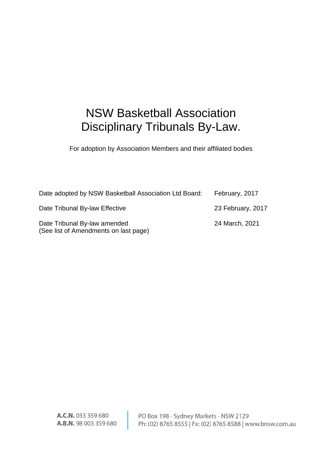# NSW Basketball Association Disciplinary Tribunals By-Law.

For adoption by Association Members and their affiliated bodies

| Date adopted by NSW Basketball Association Ltd Board:                 | February, 2017    |
|-----------------------------------------------------------------------|-------------------|
| Date Tribunal By-law Effective                                        | 23 February, 2017 |
| Date Tribunal By-law amended<br>(See list of Amendments on last page) | 24 March, 2021    |

A.C.N. 033 359 680 A.B.N. 98 003 359 680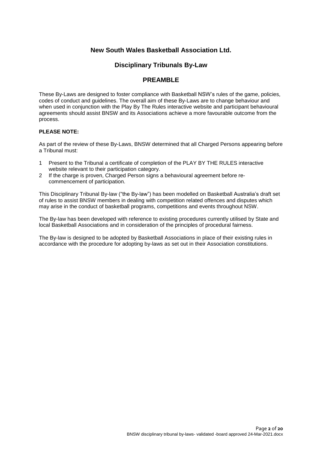# **New South Wales Basketball Association Ltd.**

# **Disciplinary Tribunals By-Law**

# **PREAMBLE**

These By-Laws are designed to foster compliance with Basketball NSW's rules of the game, policies, codes of conduct and guidelines. The overall aim of these By-Laws are to change behaviour and when used in conjunction with the Play By The Rules interactive website and participant behavioural agreements should assist BNSW and its Associations achieve a more favourable outcome from the process.

## **PLEASE NOTE:**

As part of the review of these By-Laws, BNSW determined that all Charged Persons appearing before a Tribunal must:

- 1 Present to the Tribunal a certificate of completion of the PLAY BY THE RULES interactive website relevant to their participation category.
- 2 If the charge is proven, Charged Person signs a behavioural agreement before recommencement of participation.

This Disciplinary Tribunal By-law ("the By-law") has been modelled on Basketball Australia's draft set of rules to assist BNSW members in dealing with competition related offences and disputes which may arise in the conduct of basketball programs, competitions and events throughout NSW.

The By-law has been developed with reference to existing procedures currently utilised by State and local Basketball Associations and in consideration of the principles of procedural fairness.

The By-law is designed to be adopted by Basketball Associations in place of their existing rules in accordance with the procedure for adopting by-laws as set out in their Association constitutions.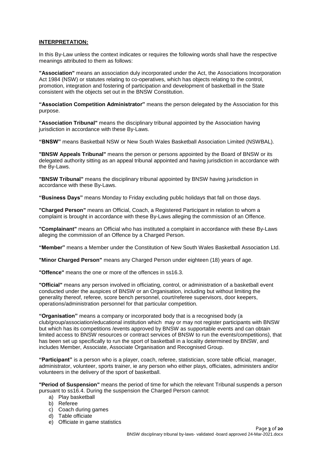## **INTERPRETATION:**

In this By-Law unless the context indicates or requires the following words shall have the respective meanings attributed to them as follows:

**"Association"** means an association duly incorporated under the Act, the Associations Incorporation Act 1984 (NSW) or statutes relating to co-operatives, which has objects relating to the control, promotion, integration and fostering of participation and development of basketball in the State consistent with the objects set out in the BNSW Constitution.

**"Association Competition Administrator"** means the person delegated by the Association for this purpose.

**"Association Tribunal"** means the disciplinary tribunal appointed by the Association having jurisdiction in accordance with these By-Laws.

**"BNSW"** means Basketball NSW or New South Wales Basketball Association Limited (NSWBAL).

**"BNSW Appeals Tribunal"** means the person or persons appointed by the Board of BNSW or its delegated authority sitting as an appeal tribunal appointed and having jurisdiction in accordance with the By-Laws.

**"BNSW Tribunal"** means the disciplinary tribunal appointed by BNSW having jurisdiction in accordance with these By-Laws.

**"Business Days"** means Monday to Friday excluding public holidays that fall on those days.

**"Charged Person"** means an Official, Coach, a Registered Participant in relation to whom a complaint is brought in accordance with these By-Laws alleging the commission of an Offence.

**"Complainant"** means an Official who has instituted a complaint in accordance with these By-Laws alleging the commission of an Offence by a Charged Person.

**"Member"** means a Member under the Constitution of New South Wales Basketball Association Ltd.

**"Minor Charged Person"** means any Charged Person under eighteen (18) years of age.

**"Offence"** means the one or more of the offences in ss16.3.

**"Official"** means any person involved in officiating, control, or administration of a basketball event conducted under the auspices of BNSW or an Organisation, including but without limiting the generality thereof, referee, score bench personnel, court/referee supervisors, door keepers, operations/administration personnel for that particular competition.

**"Organisation"** means a company or incorporated body that is a recognised body (a club/group/association/educational institution which may or may not register participants with BNSW but which has its competitions /events approved by BNSW as supportable events and can obtain limited access to BNSW resources or contract services of BNSW to run the events/competitions), that has been set up specifically to run the sport of basketball in a locality determined by BNSW, and includes Member, Associate, Associate Organisation and Recognised Group.

**"Participant"** is a person who is a player, coach, referee, statistician, score table official, manager, administrator, volunteer, sports trainer, ie any person who either plays, officiates, administers and/or volunteers in the delivery of the sport of basketball.

**"Period of Suspension"** means the period of time for which the relevant Tribunal suspends a person pursuant to ss16.4. During the suspension the Charged Person cannot:

- a) Play basketball
- b) Referee
- c) Coach during games
- d) Table officiate
- e) Officiate in game statistics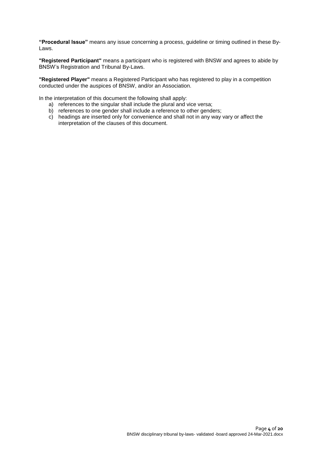**"Procedural Issue"** means any issue concerning a process, guideline or timing outlined in these By-Laws.

**"Registered Participant"** means a participant who is registered with BNSW and agrees to abide by BNSW's Registration and Tribunal By-Laws.

**"Registered Player"** means a Registered Participant who has registered to play in a competition conducted under the auspices of BNSW, and/or an Association.

In the interpretation of this document the following shall apply:

- a) references to the singular shall include the plural and vice versa;
- b) references to one gender shall include a reference to other genders;
- c) headings are inserted only for convenience and shall not in any way vary or affect the interpretation of the clauses of this document.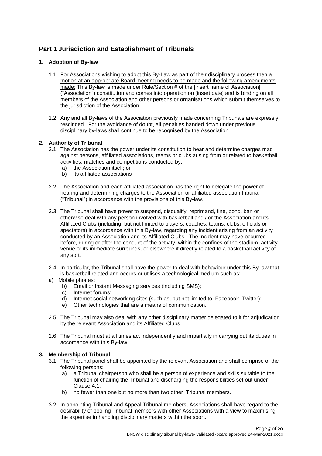# **Part 1 Jurisdiction and Establishment of Tribunals**

# **1. Adoption of By-law**

- 1.1. For Associations wishing to adopt this By-Law as part of their disciplinary process then a motion at an appropriate Board meeting needs to be made and the following amendments made: This By-law is made under Rule/Section # of the [insert name of Association] ("Association") constitution and comes into operation on [insert date] and is binding on all members of the Association and other persons or organisations which submit themselves to the jurisdiction of the Association.
- 1.2. Any and all By-laws of the Association previously made concerning Tribunals are expressly rescinded. For the avoidance of doubt, all penalties handed down under previous disciplinary by-laws shall continue to be recognised by the Association.

# **2. Authority of Tribunal**

- 2.1. The Association has the power under its constitution to hear and determine charges mad against persons, affiliated associations, teams or clubs arising from or related to basketball activities, matches and competitions conducted by:
	-
	- a) the Association itself; or<br>b) its affiliated associations its affiliated associations
- 2.2. The Association and each affiliated association has the right to delegate the power of hearing and determining charges to the Association or affiliated association tribunal ("Tribunal") in accordance with the provisions of this By-law.
- 2.3. The Tribunal shall have power to suspend, disqualify, reprimand, fine, bond, ban or otherwise deal with any person involved with basketball and / or the Association and its Affiliated Clubs (including, but not limited to players, coaches, teams, clubs, officials or spectators) in accordance with this By-law, regarding any incident arising from an activity conducted by an Association and its Affiliated Clubs. The incident may have occurred before, during or after the conduct of the activity, within the confines of the stadium, activity venue or its immediate surrounds, or elsewhere if directly related to a basketball activity of any sort.
- 2.4. In particular, the Tribunal shall have the power to deal with behaviour under this By-law that is basketball related and occurs or utilises a technological medium such as:
- a) Mobile phones;
	- b) Email or Instant Messaging services (including SMS);
	- c) Internet forums;
	- d) Internet social networking sites (such as, but not limited to, Facebook, Twitter);
	- e) Other technologies that are a means of communication.
- 2.5. The Tribunal may also deal with any other disciplinary matter delegated to it for adjudication by the relevant Association and its Affiliated Clubs.
- 2.6. The Tribunal must at all times act independently and impartially in carrying out its duties in accordance with this By-law.

# **3. Membership of Tribunal**

- 3.1. The Tribunal panel shall be appointed by the relevant Association and shall comprise of the following persons:
	- a) a Tribunal chairperson who shall be a person of experience and skills suitable to the function of chairing the Tribunal and discharging the responsibilities set out under Clause 4.1;
	- b) no fewer than one but no more than two other Tribunal members.
- 3.2. In appointing Tribunal and Appeal Tribunal members, Associations shall have regard to the desirability of pooling Tribunal members with other Associations with a view to maximising the expertise in handling disciplinary matters within the sport.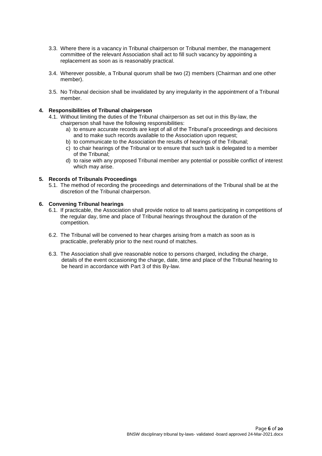- 3.3. Where there is a vacancy in Tribunal chairperson or Tribunal member, the management committee of the relevant Association shall act to fill such vacancy by appointing a replacement as soon as is reasonably practical.
- 3.4. Wherever possible, a Tribunal quorum shall be two (2) members (Chairman and one other member).
- 3.5. No Tribunal decision shall be invalidated by any irregularity in the appointment of a Tribunal member.

## **4. Responsibilities of Tribunal chairperson**

- 4.1. Without limiting the duties of the Tribunal chairperson as set out in this By-law, the chairperson shall have the following responsibilities:
	- a) to ensure accurate records are kept of all of the Tribunal's proceedings and decisions and to make such records available to the Association upon request;
	- b) to communicate to the Association the results of hearings of the Tribunal;
	- c) to chair hearings of the Tribunal or to ensure that such task is delegated to a member of the Tribunal;
	- d) to raise with any proposed Tribunal member any potential or possible conflict of interest which may arise.

## **5. Records of Tribunals Proceedings**

5.1. The method of recording the proceedings and determinations of the Tribunal shall be at the discretion of the Tribunal chairperson.

## **6. Convening Tribunal hearings**

- 6.1. If practicable, the Association shall provide notice to all teams participating in competitions of the regular day, time and place of Tribunal hearings throughout the duration of the competition.
- 6.2. The Tribunal will be convened to hear charges arising from a match as soon as is practicable, preferably prior to the next round of matches.
- 6.3. The Association shall give reasonable notice to persons charged, including the charge, details of the event occasioning the charge, date, time and place of the Tribunal hearing to be heard in accordance with Part 3 of this By-law.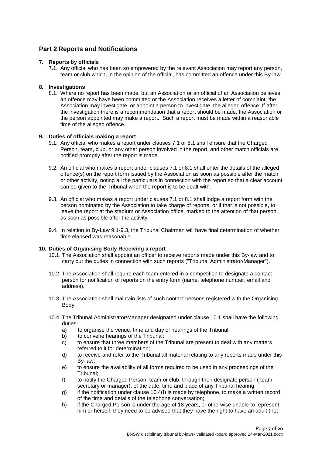# **Part 2 Reports and Notifications**

## **7. Reports by officials**

7.1. Any official who has been so empowered by the relevant Association may report any person, team or club which, in the opinion of the official, has committed an offence under this By-law.

## **8. Investigations**

8.1. Where no report has been made, but an Association or an official of an Association believes an offence may have been committed or the Association receives a letter of complaint, the Association may investigate, or appoint a person to investigate, the alleged offence. If after the investigation there is a recommendation that a report should be made, the Association or the person appointed may make a report. Such a report must be made within a reasonable time of the alleged offence.

## **9. Duties of officials making a report**

- 9.1. Any official who makes a report under clauses 7.1 or 8.1 shall ensure that the Charged Person, team, club, or any other person involved in the report, and other match officials are notified promptly after the report is made.
- 9.2. An official who makes a report under clauses 7.1 or 8.1 shall enter the details of the alleged offence(s) on the report form issued by the Association as soon as possible after the match or other activity, noting all the particulars in connection with the report so that a clear account can be given to the Tribunal when the report is to be dealt with.
- 9.3. An official who makes a report under clauses 7.1 or 8.1 shall lodge a report form with the person nominated by the Association to take charge of reports, or if that is not possible, to leave the report at the stadium or Association office, marked to the attention of that person, as soon as possible after the activity.
- 9.4. In relation to By-Law 9.1-9.3, the Tribunal Chairman will have final determination of whether time elapsed was reasonable.

## **10. Duties of Organising Body Receiving a report**

- 10.1. The Association shall appoint an officer to receive reports made under this By-law and to carry out the duties in connection with such reports ("Tribunal Administrator/Manager").
- 10.2. The Association shall require each team entered in a competition to designate a contact person for notification of reports on the entry form (name, telephone number, email and address).
- 10.3. The Association shall maintain lists of such contact persons registered with the Organising Body.
- 10.4. The Tribunal Administrator/Manager designated under clause 10.1 shall have the following duties:
	- a) to organise the venue, time and day of hearings of the Tribunal;
	- b) to convene hearings of the Tribunal;
	- c) to ensure that three members of the Tribunal are present to deal with any matters referred to it for determination;
	- d) to receive and refer to the Tribunal all material relating to any reports made under this By-law;
	- e) to ensure the availability of all forms required to be used in any proceedings of the Tribunal;
	- f) to notify the Charged Person, team or club, through their designate person ( team secretary or manager), of the date, time and place of any Tribunal hearing;
	- g) if the notification under clause 10.4(f) is made by telephone, to make a written record of the time and details of the telephone conversation;
	- h) if the Charged Person is under the age of 18 years, or otherwise unable to represent him or herself, they need to be advised that they have the right to have an adult (not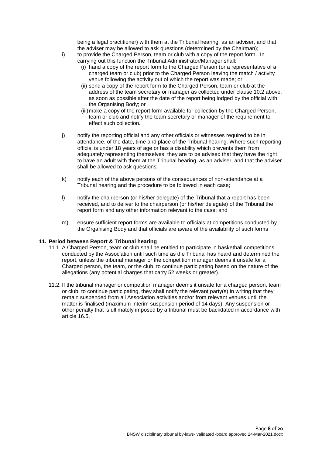being a legal practitioner) with them at the Tribunal hearing, as an adviser, and that the adviser may be allowed to ask questions (determined by the Chairman);

- i) to provide the Charged Person, team or club with a copy of the report form. In carrying out this function the Tribunal Administrator/Manager shall:
	- (i) hand a copy of the report form to the Charged Person (or a representative of a charged team or club) prior to the Charged Person leaving the match / activity venue following the activity out of which the report was made; or
	- (ii) send a copy of the report form to the Charged Person, team or club at the address of the team secretary or manager as collected under clause 10.2 above, as soon as possible after the date of the report being lodged by the official with the Organising Body; or
	- (iii)make a copy of the report form available for collection by the Charged Person, team or club and notify the team secretary or manager of the requirement to effect such collection.
- j) notify the reporting official and any other officials or witnesses required to be in attendance, of the date, time and place of the Tribunal hearing. Where such reporting official is under 18 years of age or has a disability which prevents them from adequately representing themselves, they are to be advised that they have the right to have an adult with them at the Tribunal hearing, as an adviser, and that the adviser shall be allowed to ask questions.
- k) notify each of the above persons of the consequences of non-attendance at a Tribunal hearing and the procedure to be followed in each case;
- l) notify the chairperson (or his/her delegate) of the Tribunal that a report has been received, and to deliver to the chairperson (or his/her delegate) of the Tribunal the report form and any other information relevant to the case; and
- m) ensure sufficient report forms are available to officials at competitions conducted by the Organising Body and that officials are aware of the availability of such forms

## **11. Period between Report & Tribunal hearing**

- 11.1. A Charged Person, team or club shall be entitled to participate in basketball competitions conducted by the Association until such time as the Tribunal has heard and determined the report, unless the tribunal manager or the competition manager deems it unsafe for a Charged person, the team, or the club, to continue participating based on the nature of the allegations (any potential charges that carry 52 weeks or greater).
- 11.2. If the tribunal manager or competition manager deems it unsafe for a charged person, team or club, to continue participating, they shall notify the relevant party(s) in writing that they remain suspended from all Association activities and/or from relevant venues until the matter is finalised (maximum interim suspension period of 14 days). Any suspension or other penalty that is ultimately imposed by a tribunal must be backdated in accordance with article 16.5.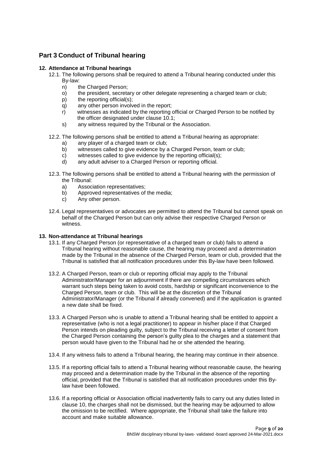# **Part 3 Conduct of Tribunal hearing**

## **12. Attendance at Tribunal hearings**

- 12.1. The following persons shall be required to attend a Tribunal hearing conducted under this By-law:
	- n) the Charged Person;<br>o) the president, secreta
	- the president, secretary or other delegate representing a charged team or club;
	- p) the reporting official(s);
	- q) any other person involved in the report;
	- r) witnesses as indicated by the reporting official or Charged Person to be notified by the officer designated under clause 10.1;
	- s) any witness required by the Tribunal or the Association.
- 12.2. The following persons shall be entitled to attend a Tribunal hearing as appropriate:
	- a) any player of a charged team or club;<br>b) witnesses called to give evidence by a
	- witnesses called to give evidence by a Charged Person, team or club;
	- c) witnesses called to give evidence by the reporting official(s);
	- d) any adult adviser to a Charged Person or reporting official.
- 12.3. The following persons shall be entitled to attend a Tribunal hearing with the permission of the Tribunal:
	- a) Association representatives;
	- b) Approved representatives of the media;
	- c) Any other person.
- 12.4. Legal representatives or advocates are permitted to attend the Tribunal but cannot speak on behalf of the Charged Person but can only advise their respective Charged Person or witness.

# **13. Non-attendance at Tribunal hearings**

- 13.1. If any Charged Person (or representative of a charged team or club) fails to attend a Tribunal hearing without reasonable cause, the hearing may proceed and a determination made by the Tribunal in the absence of the Charged Person, team or club, provided that the Tribunal is satisfied that all notification procedures under this By-law have been followed.
- 13.2. A Charged Person, team or club or reporting official may apply to the Tribunal Administrator/Manager for an adjournment if there are compelling circumstances which warrant such steps being taken to avoid costs, hardship or significant inconvenience to the Charged Person, team or club. This will be at the discretion of the Tribunal Administrator/Manager (or the Tribunal if already convened) and if the application is granted a new date shall be fixed.
- 13.3. A Charged Person who is unable to attend a Tribunal hearing shall be entitled to appoint a representative (who is not a legal practitioner) to appear in his/her place if that Charged Person intends on pleading guilty, subject to the Tribunal receiving a letter of consent from the Charged Person containing the person's guilty plea to the charges and a statement that person would have given to the Tribunal had he or she attended the hearing.
- 13.4. If any witness fails to attend a Tribunal hearing, the hearing may continue in their absence.
- 13.5. If a reporting official fails to attend a Tribunal hearing without reasonable cause, the hearing may proceed and a determination made by the Tribunal in the absence of the reporting official, provided that the Tribunal is satisfied that all notification procedures under this Bylaw have been followed.
- 13.6. If a reporting official or Association official inadvertently fails to carry out any duties listed in clause 10, the charges shall not be dismissed, but the hearing may be adjourned to allow the omission to be rectified. Where appropriate, the Tribunal shall take the failure into account and make suitable allowance.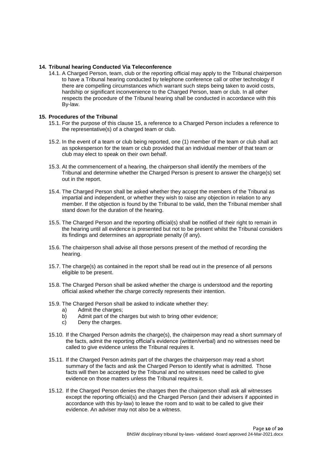## **14. Tribunal hearing Conducted Via Teleconference**

14.1. A Charged Person, team, club or the reporting official may apply to the Tribunal chairperson to have a Tribunal hearing conducted by telephone conference call or other technology if there are compelling circumstances which warrant such steps being taken to avoid costs, hardship or significant inconvenience to the Charged Person, team or club. In all other respects the procedure of the Tribunal hearing shall be conducted in accordance with this By-law.

## **15. Procedures of the Tribunal**

- 15.1. For the purpose of this clause 15, a reference to a Charged Person includes a reference to the representative(s) of a charged team or club.
- 15.2. In the event of a team or club being reported, one (1) member of the team or club shall act as spokesperson for the team or club provided that an individual member of that team or club may elect to speak on their own behalf.
- 15.3. At the commencement of a hearing, the chairperson shall identify the members of the Tribunal and determine whether the Charged Person is present to answer the charge(s) set out in the report.
- 15.4. The Charged Person shall be asked whether they accept the members of the Tribunal as impartial and independent, or whether they wish to raise any objection in relation to any member. If the objection is found by the Tribunal to be valid, then the Tribunal member shall stand down for the duration of the hearing.
- 15.5. The Charged Person and the reporting official(s) shall be notified of their right to remain in the hearing until all evidence is presented but not to be present whilst the Tribunal considers its findings and determines an appropriate penalty (if any).
- 15.6. The chairperson shall advise all those persons present of the method of recording the hearing.
- 15.7. The charge(s) as contained in the report shall be read out in the presence of all persons eligible to be present.
- 15.8. The Charged Person shall be asked whether the charge is understood and the reporting official asked whether the charge correctly represents their intention.
- 15.9. The Charged Person shall be asked to indicate whether they:
	- a) Admit the charges;
	- b) Admit part of the charges but wish to bring other evidence;
	- c) Deny the charges.
- 15.10. If the Charged Person admits the charge(s), the chairperson may read a short summary of the facts, admit the reporting official's evidence (written/verbal) and no witnesses need be called to give evidence unless the Tribunal requires it.
- 15.11. If the Charged Person admits part of the charges the chairperson may read a short summary of the facts and ask the Charged Person to identify what is admitted. Those facts will then be accepted by the Tribunal and no witnesses need be called to give evidence on those matters unless the Tribunal requires it.
- 15.12. If the Charged Person denies the charges then the chairperson shall ask all witnesses except the reporting official(s) and the Charged Person (and their advisers if appointed in accordance with this by-law) to leave the room and to wait to be called to give their evidence. An adviser may not also be a witness.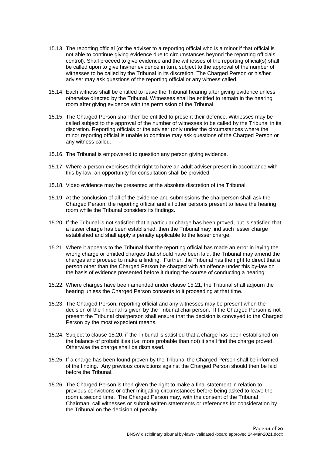- 15.13. The reporting official (or the adviser to a reporting official who is a minor if that official is not able to continue giving evidence due to circumstances beyond the reporting officials control). Shall proceed to give evidence and the witnesses of the reporting official(s) shall be called upon to give his/her evidence in turn, subject to the approval of the number of witnesses to be called by the Tribunal in its discretion. The Charged Person or his/her adviser may ask questions of the reporting official or any witness called.
- 15.14. Each witness shall be entitled to leave the Tribunal hearing after giving evidence unless otherwise directed by the Tribunal. Witnesses shall be entitled to remain in the hearing room after giving evidence with the permission of the Tribunal.
- 15.15. The Charged Person shall then be entitled to present their defence. Witnesses may be called subject to the approval of the number of witnesses to be called by the Tribunal in its discretion. Reporting officials or the adviser (only under the circumstances where the minor reporting official is unable to continue may ask questions of the Charged Person or any witness called.
- 15.16. The Tribunal is empowered to question any person giving evidence.
- 15.17. Where a person exercises their right to have an adult adviser present in accordance with this by-law, an opportunity for consultation shall be provided.
- 15.18. Video evidence may be presented at the absolute discretion of the Tribunal.
- 15.19. At the conclusion of all of the evidence and submissions the chairperson shall ask the Charged Person, the reporting official and all other persons present to leave the hearing room while the Tribunal considers its findings.
- 15.20. If the Tribunal is not satisfied that a particular charge has been proved, but is satisfied that a lesser charge has been established, then the Tribunal may find such lesser charge established and shall apply a penalty applicable to the lesser charge.
- 15.21. Where it appears to the Tribunal that the reporting official has made an error in laying the wrong charge or omitted charges that should have been laid, the Tribunal may amend the charges and proceed to make a finding. Further, the Tribunal has the right to direct that a person other than the Charged Person be charged with an offence under this by-law on the basis of evidence presented before it during the course of conducting a hearing.
- 15.22. Where charges have been amended under clause 15.21, the Tribunal shall adjourn the hearing unless the Charged Person consents to it proceeding at that time.
- 15.23. The Charged Person, reporting official and any witnesses may be present when the decision of the Tribunal is given by the Tribunal chairperson. If the Charged Person is not present the Tribunal chairperson shall ensure that the decision is conveyed to the Charged Person by the most expedient means.
- 15.24. Subject to clause 15.20, if the Tribunal is satisfied that a charge has been established on the balance of probabilities (i.e. more probable than not) it shall find the charge proved. Otherwise the charge shall be dismissed.
- 15.25. If a charge has been found proven by the Tribunal the Charged Person shall be informed of the finding. Any previous convictions against the Charged Person should then be laid before the Tribunal.
- 15.26. The Charged Person is then given the right to make a final statement in relation to previous convictions or other mitigating circumstances before being asked to leave the room a second time. The Charged Person may, with the consent of the Tribunal Chairman, call witnesses or submit written statements or references for consideration by the Tribunal on the decision of penalty.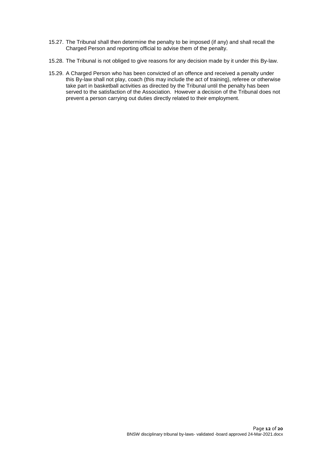- 15.27. The Tribunal shall then determine the penalty to be imposed (if any) and shall recall the Charged Person and reporting official to advise them of the penalty.
- 15.28. The Tribunal is not obliged to give reasons for any decision made by it under this By-law.
- 15.29. A Charged Person who has been convicted of an offence and received a penalty under this By-law shall not play, coach (this may include the act of training), referee or otherwise take part in basketball activities as directed by the Tribunal until the penalty has been served to the satisfaction of the Association. However a decision of the Tribunal does not prevent a person carrying out duties directly related to their employment.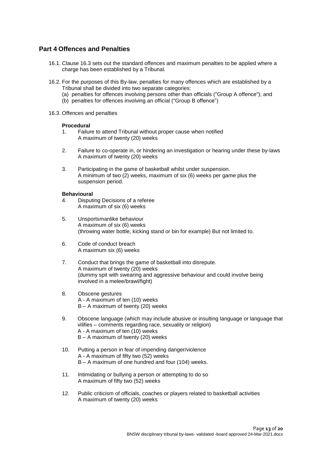# **Part 4 Offences and Penalties**

- 16.1. Clause 16.3 sets out the standard offences and maximum penalties to be applied where a charge has been established by a Tribunal.
- 16.2. For the purposes of this By-law, penalties for many offences which are established by a Tribunal shall be divided into two separate categories:
	- (a) penalties for offences involving persons other than officials ("Group A offence"); and
	- (b) penalties for offences involving an official ("Group B offence")
- 16.3. Offences and penalties

## **Procedural**

- 1. Failure to attend Tribunal without proper cause when notified A maximum of twenty (20) weeks
- 2. Failure to co-operate in, or hindering an investigation or hearing under these by-laws A maximum of twenty (20) weeks
- 3. Participating in the game of basketball whilst under suspension. A minimum of two (2) weeks, maximum of six (6) weeks per game plus the suspension period.

## **Behavioural**

- 4. Disputing Decisions of a referee A maximum of six (6) weeks
- 5. Unsportsmanlike behaviour A maximum of six (6) weeks (throwing water bottle, kicking stand or bin for example) But not limited to.
- 6. Code of conduct breach A maximum six (6) weeks
- 7. Conduct that brings the game of basketball into disrepute. A maximum of twenty (20) weeks (dummy spit with swearing and aggressive behaviour and could involve being involved in a melee/brawl/fight)
- 8. Obscene gestures A - A maximum of ten (10) weeks B – A maximum of twenty (20) weeks
- 9. Obscene language (which may include abusive or insulting language or language that vilifies – comments regarding race, sexuality or religion) A - A maximum of ten (10) weeks B – A maximum of twenty (20) weeks
- 10. Putting a person in fear of impending danger/violence A - A maximum of fifty two (52) weeks B – A maximum of one hundred and four (104) weeks.
- 11. Intimidating or bullying a person or attempting to do so A maximum of fifty two (52) weeks
- 12. Public criticism of officials, coaches or players related to basketball activities A maximum of twenty (20) weeks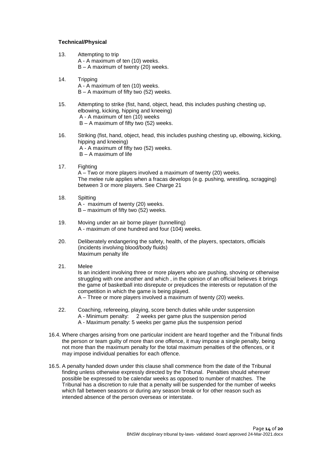## **Technical/Physical**

- 13. Attempting to trip A - A maximum of ten (10) weeks. B – A maximum of twenty (20) weeks.
- 14. Tripping A - A maximum of ten (10) weeks. B – A maximum of fifty two (52) weeks.
- 15. Attempting to strike (fist, hand, object, head, this includes pushing chesting up, elbowing, kicking, hipping and kneeing) A - A maximum of ten (10) weeks B – A maximum of fifty two (52) weeks.
- 16. Striking (fist, hand, object, head, this includes pushing chesting up, elbowing, kicking, hipping and kneeing) A - A maximum of fifty two (52) weeks. B – A maximum of life
- 17. Fighting

A – Two or more players involved a maximum of twenty (20) weeks. The melee rule applies when a fracas develops (e.g. pushing, wrestling, scragging) between 3 or more players. See Charge 21

- 18. Spitting A - maximum of twenty (20) weeks. B – maximum of fifty two (52) weeks.
- 19. Moving under an air borne player (tunnelling) A - maximum of one hundred and four (104) weeks.
- 20. Deliberately endangering the safety, health, of the players, spectators, officials (incidents involving blood/body fluids) Maximum penalty life
- 21. Melee

Is an incident involving three or more players who are pushing, shoving or otherwise struggling with one another and which , in the opinion of an official believes it brings the game of basketball into disrepute or prejudices the interests or reputation of the competition in which the game is being played.

A – Three or more players involved a maximum of twenty (20) weeks.

- 22. Coaching, refereeing, playing, score bench duties while under suspension A - Minimum penalty: 2 weeks per game plus the suspension period A - Maximum penalty: 5 weeks per game plus the suspension period
- 16.4. Where charges arising from one particular incident are heard together and the Tribunal finds the person or team guilty of more than one offence, it may impose a single penalty, being not more than the maximum penalty for the total maximum penalties of the offences, or it may impose individual penalties for each offence.
- 16.5. A penalty handed down under this clause shall commence from the date of the Tribunal finding unless otherwise expressly directed by the Tribunal. Penalties should wherever possible be expressed to be calendar weeks as opposed to number of matches. The Tribunal has a discretion to rule that a penalty will be suspended for the number of weeks which fall between seasons or during any season break or for other reason such as intended absence of the person overseas or interstate.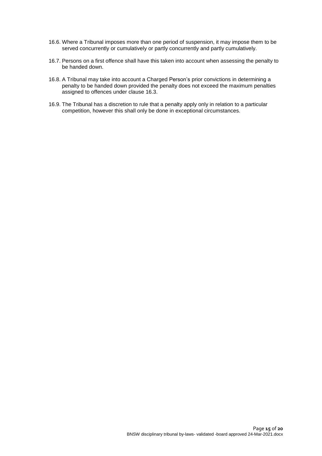- 16.6. Where a Tribunal imposes more than one period of suspension, it may impose them to be served concurrently or cumulatively or partly concurrently and partly cumulatively.
- 16.7. Persons on a first offence shall have this taken into account when assessing the penalty to be handed down.
- 16.8. A Tribunal may take into account a Charged Person's prior convictions in determining a penalty to be handed down provided the penalty does not exceed the maximum penalties assigned to offences under clause 16.3.
- 16.9. The Tribunal has a discretion to rule that a penalty apply only in relation to a particular competition, however this shall only be done in exceptional circumstances.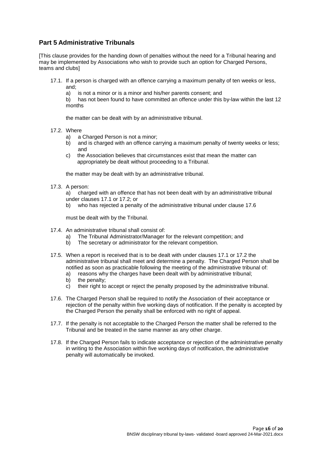# **Part 5 Administrative Tribunals**

[This clause provides for the handing down of penalties without the need for a Tribunal hearing and may be implemented by Associations who wish to provide such an option for Charged Persons, teams and clubs]

- 17.1. If a person is charged with an offence carrying a maximum penalty of ten weeks or less, and;
	- a) is not a minor or is a minor and his/her parents consent; and

b) has not been found to have committed an offence under this by-law within the last 12 months

the matter can be dealt with by an administrative tribunal.

- 17.2. Where
	- a) a Charged Person is not a minor;
	- b) and is charged with an offence carrying a maximum penalty of twenty weeks or less; and
	- c) the Association believes that circumstances exist that mean the matter can appropriately be dealt without proceeding to a Tribunal.

the matter may be dealt with by an administrative tribunal.

17.3. A person:

a) charged with an offence that has not been dealt with by an administrative tribunal under clauses 17.1 or 17.2; or

b) who has rejected a penalty of the administrative tribunal under clause 17.6

must be dealt with by the Tribunal.

- 17.4. An administrative tribunal shall consist of:
	- a) The Tribunal Administrator/Manager for the relevant competition; and
	- b) The secretary or administrator for the relevant competition.
- 17.5. When a report is received that is to be dealt with under clauses 17.1 or 17.2 the administrative tribunal shall meet and determine a penalty. The Charged Person shall be notified as soon as practicable following the meeting of the administrative tribunal of:
	- a) reasons why the charges have been dealt with by administrative tribunal;
	- b) the penalty;
	- c) their right to accept or reject the penalty proposed by the administrative tribunal.
- 17.6. The Charged Person shall be required to notify the Association of their acceptance or rejection of the penalty within five working days of notification. If the penalty is accepted by the Charged Person the penalty shall be enforced with no right of appeal.
- 17.7. If the penalty is not acceptable to the Charged Person the matter shall be referred to the Tribunal and be treated in the same manner as any other charge.
- 17.8. If the Charged Person fails to indicate acceptance or rejection of the administrative penalty in writing to the Association within five working days of notification, the administrative penalty will automatically be invoked.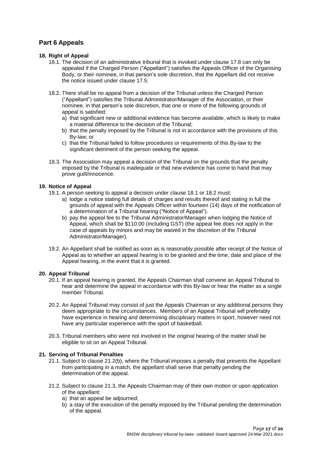# **Part 6 Appeals**

## **18. Right of Appeal**

- 18.1. The decision of an administrative tribunal that is invoked under clause 17.8 can only be appealed if the Charged Person ("Appellant") satisfies the Appeals Officer of the Organising Body, or their nominee, in that person's sole discretion, that the Appellant did not receive the notice issued under clause 17.5.
- 18.2. There shall be no appeal from a decision of the Tribunal unless the Charged Person ("Appellant") satisfies the Tribunal Administrator/Manager of the Association, or their nominee, in that person's sole discretion, that one or more of the following grounds of appeal is satisfied:
	- a) that significant new or additional evidence has become available, which is likely to make a material difference to the decision of the Tribunal;
	- b) that the penalty imposed by the Tribunal is not in accordance with the provisions of this By-law; or
	- c) that the Tribunal failed to follow procedures or requirements of this By-law to the significant detriment of the person seeking the appeal.
- 18.3. The Association may appeal a decision of the Tribunal on the grounds that the penalty imposed by the Tribunal is inadequate or that new evidence has come to hand that may prove guilt/innocence.

# **19. Notice of Appeal**

- 19.1. A person seeking to appeal a decision under clause 18.1 or 18.2 must:
	- a) lodge a notice stating full details of charges and results thereof and stating in full the grounds of appeal with the Appeals Officer within fourteen (14) days of the notification of a determination of a Tribunal hearing ("Notice of Appeal").
	- b) pay the appeal fee to the Tribunal Administrator/Manager when lodging the Notice of Appeal, which shall be \$110.00 (including GST) (the appeal fee does not apply in the case of appeals by minors and may be waived in the discretion of the Tribunal Administrator/Manager).
- 19.2. An Appellant shall be notified as soon as is reasonably possible after receipt of the Notice of Appeal as to whether an appeal hearing is to be granted and the time, date and place of the Appeal hearing, in the event that it is granted.

# **20. Appeal Tribunal**

- 20.1. If an appeal hearing is granted, the Appeals Chairman shall convene an Appeal Tribunal to hear and determine the appeal in accordance with this By-law or hear the matter as a single member Tribunal.
- 20.2. An Appeal Tribunal may consist of just the Appeals Chairman or any additional persons they deem appropriate to the circumstances. Members of an Appeal Tribunal will preferably have experience in hearing and determining disciplinary matters in sport, however need not have any particular experience with the sport of basketball.
- 20.3. Tribunal members who were not involved in the original hearing of the matter shall be eligible to sit on an Appeal Tribunal.

# **21. Serving of Tribunal Penalties**

- 21.1. Subject to clause 21.2(b), where the Tribunal imposes a penalty that prevents the Appellant from participating in a match, the appellant shall serve that penalty pending the determination of the appeal.
- 21.2. Subject to clause 21.3, the Appeals Chairman may of their own motion or upon application of the appellant:
	- a) that an appeal be adjourned;
	- b) a stay of the execution of the penalty imposed by the Tribunal pending the determination of the appeal.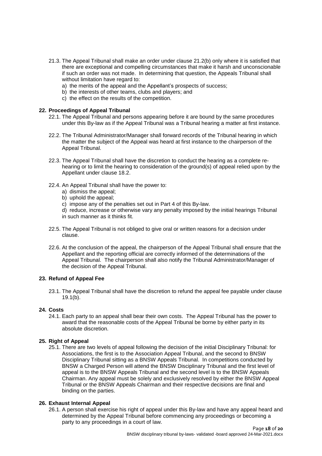- 21.3. The Appeal Tribunal shall make an order under clause 21.2(b) only where it is satisfied that there are exceptional and compelling circumstances that make it harsh and unconscionable if such an order was not made. In determining that question, the Appeals Tribunal shall without limitation have regard to:
	- a) the merits of the appeal and the Appellant's prospects of success;
	- b) the interests of other teams, clubs and players; and
	- c) the effect on the results of the competition.

## **22. Proceedings of Appeal Tribunal**

- 22.1. The Appeal Tribunal and persons appearing before it are bound by the same procedures under this By-law as if the Appeal Tribunal was a Tribunal hearing a matter at first instance.
- 22.2. The Tribunal Administrator/Manager shall forward records of the Tribunal hearing in which the matter the subject of the Appeal was heard at first instance to the chairperson of the Appeal Tribunal.
- 22.3. The Appeal Tribunal shall have the discretion to conduct the hearing as a complete rehearing or to limit the hearing to consideration of the ground(s) of appeal relied upon by the Appellant under clause 18.2.
- 22.4. An Appeal Tribunal shall have the power to:
	- a) dismiss the appeal;
	- b) uphold the appeal;
	- c) impose any of the penalties set out in Part 4 of this By-law.
	- d) reduce, increase or otherwise vary any penalty imposed by the initial hearings Tribunal in such manner as it thinks fit.
- 22.5. The Appeal Tribunal is not obliged to give oral or written reasons for a decision under clause.
- 22.6. At the conclusion of the appeal, the chairperson of the Appeal Tribunal shall ensure that the Appellant and the reporting official are correctly informed of the determinations of the Appeal Tribunal. The chairperson shall also notify the Tribunal Administrator/Manager of the decision of the Appeal Tribunal.

# **23. Refund of Appeal Fee**

23.1. The Appeal Tribunal shall have the discretion to refund the appeal fee payable under clause  $19.1(b)$ .

## **24. Costs**

24.1. Each party to an appeal shall bear their own costs. The Appeal Tribunal has the power to award that the reasonable costs of the Appeal Tribunal be borne by either party in its absolute discretion.

## **25. Right of Appeal**

25.1. There are two levels of appeal following the decision of the initial Disciplinary Tribunal: for Associations, the first is to the Association Appeal Tribunal, and the second to BNSW Disciplinary Tribunal sitting as a BNSW Appeals Tribunal. In competitions conducted by BNSW a Charged Person will attend the BNSW Disciplinary Tribunal and the first level of appeal is to the BNSW Appeals Tribunal and the second level is to the BNSW Appeals Chairman. Any appeal must be solely and exclusively resolved by either the BNSW Appeal Tribunal or the BNSW Appeals Chairman and their respective decisions are final and binding on the parties.

# **26. Exhaust Internal Appeal**

26.1. A person shall exercise his right of appeal under this By-law and have any appeal heard and determined by the Appeal Tribunal before commencing any proceedings or becoming a party to any proceedings in a court of law.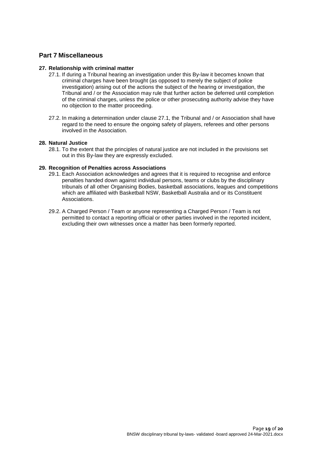# **Part 7 Miscellaneous**

## **27. Relationship with criminal matter**

- 27.1. If during a Tribunal hearing an investigation under this By-law it becomes known that criminal charges have been brought (as opposed to merely the subject of police investigation) arising out of the actions the subject of the hearing or investigation, the Tribunal and / or the Association may rule that further action be deferred until completion of the criminal charges, unless the police or other prosecuting authority advise they have no objection to the matter proceeding.
- 27.2. In making a determination under clause 27.1, the Tribunal and / or Association shall have regard to the need to ensure the ongoing safety of players, referees and other persons involved in the Association.

#### **28. Natural Justice**

28.1. To the extent that the principles of natural justice are not included in the provisions set out in this By-law they are expressly excluded.

#### **29. Recognition of Penalties across Associations**

- 29.1. Each Association acknowledges and agrees that it is required to recognise and enforce penalties handed down against individual persons, teams or clubs by the disciplinary tribunals of all other Organising Bodies, basketball associations, leagues and competitions which are affiliated with Basketball NSW, Basketball Australia and or its Constituent Associations.
- 29.2. A Charged Person / Team or anyone representing a Charged Person / Team is not permitted to contact a reporting official or other parties involved in the reported incident, excluding their own witnesses once a matter has been formerly reported.